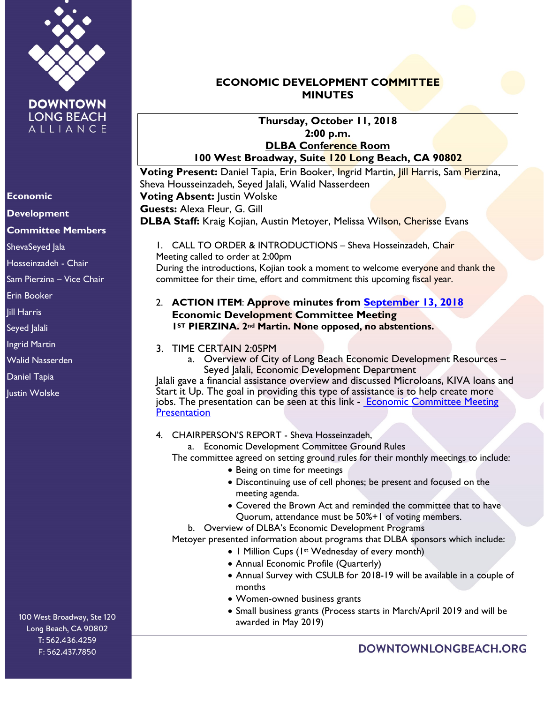

#### **Economic**

**Development**

## **Committee Members**

ShevaSeyed Jala

Hosseinzadeh - Chair

Sam Pierzina – Vice Chair

Erin Booker

Jill Harris

Seyed Jalali

Ingrid Martin

Walid Nasserden

Daniel Tapia

**Iustin Wolske** 

100 West Broadway, Ste 120 Long Beach, CA 90802 T: 562.436.4259 F: 562.437.7850

# **ECONOMIC DEVELOPMENT COMMITTEE MINUTES**

#### **Thursday, October 11, 2018 2:00 p.m. DLBA Conference Room 100 West Broadway, Suite 120 Long Beach, CA 90802**

**Voting Present:** Daniel Tapia, Erin Booker, Ingrid Martin, Jill Harris, Sam Pierzina, Sheva Housseinzadeh, Seyed Jalali, Walid Nasserdeen **Voting Absent:** Justin Wolske **Guests:** Alexa Fleur, G. Gill **DLBA Staff:** Kraig Kojian, Austin Metoyer, Melissa Wilson, Cherisse Evans

1. CALL TO ORDER & INTRODUCTIONS - Sheva Hosseinzadeh, Chair Meeting called to order at 2:00pm During the introductions, Kojian took a moment to welcome everyone and thank the committee for their time, effort and commitment this upcoming fiscal year.

## 2. **ACTION ITEM**: **Approve minutes from [September 13, 2018](https://downtownlongbeach.org/wp-content/uploads/ED-9-13-18-Minutes.pdf) Economic Development Committee Meeting 1ST PIERZINA. 2nd Martin. None opposed, no abstentions.**

#### 3. TIME CERTAIN 2:05PM

a. Overview of City of Long Beach Economic Development Resources – Seyed Jalali, Economic Development Department

Jalali gave a financial assistance overview and discussed Microloans, KIVA loans and Start it Up. The goal in providing this type of assistance is to help create more jobs. The presentation can be seen at this link - Economic Committee Meeting **Presentation** 

#### 4. CHAIRPERSON'S REPORT - Sheva Hosseinzadeh,

a. Economic Development Committee Ground Rules

The committee agreed on setting ground rules for their monthly meetings to include:

- Being on time for meetings
- Discontinuing use of cell phones; be present and focused on the meeting agenda.
- Covered the Brown Act and reminded the committee that to have Quorum, attendance must be 50%+1 of voting members.

b. Overview of DLBA's Economic Development Programs

Metoyer presented information about programs that DLBA sponsors which include:

- 1 Million Cups (1st Wednesday of every month)
	- Annual Economic Profile (Quarterly)
	- Annual Survey with CSULB for 2018-19 will be available in a couple of months
	- Women-owned business grants
	- Small business grants (Process starts in March/April 2019 and will be awarded in May 2019)